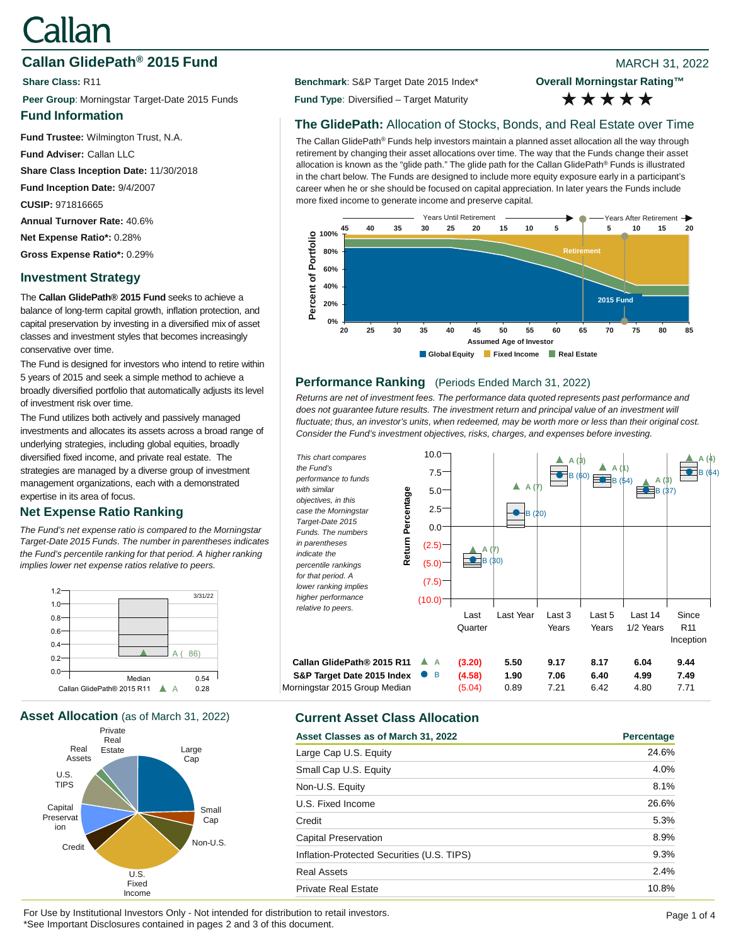# Callan

# **Callan GlidePath<sup>®</sup> 2015 Fund Branch 2015 Fund Properties Allen MARCH 31, 2022**

**Peer Group**: Morningstar Target-Date 2015 Funds **Fund Type**: Diversified – Target Maturity

## **Fund Information**

**Fund Trustee:** Wilmington Trust, N.A.

**Fund Adviser:** Callan LLC

**Share Class Inception Date:** 11/30/2018

**Fund Inception Date:** 9/4/2007

**CUSIP:** 971816665

**Annual Turnover Rate:** 40.6%

**Net Expense Ratio\*:** 0.28%

**Gross Expense Ratio\*:** 0.29%

# **Investment Strategy**

The **Callan GlidePath® 2015 Fund** seeks to achieve a balance of long-term capital growth, inflation protection, and capital preservation by investing in a diversified mix of asset classes and investment styles that becomes increasingly conservative over time.

The Fund is designed for investors who intend to retire within 5 years of 2015 and seek a simple method to achieve a broadly diversified portfolio that automatically adjusts its level of investment risk over time.

The Fund utilizes both actively and passively managed investments and allocates its assets across a broad range of underlying strategies, including global equities, broadly diversified fixed income, and private real estate. The strategies are managed by a diverse group of investment management organizations, each with a demonstrated expertise in its area of focus.

# **Net Expense Ratio Ranking**

*The Fund's net expense ratio is compared to the Morningstar Target-Date 2015 Funds. The number in parentheses indicates the Fund's percentile ranking for that period. A higher ranking implies lower net expense ratios relative to peers.*



**Asset Allocation** (as of March 31, 2022) **Current Asset Class Allocation**



**Share Class: R11 Benchmark: S&P Target Date 2015 Index\*** 

**Overall Morningstar Rating™** \*\*\*\*\*

# **The GlidePath:** Allocation of Stocks, Bonds, and Real Estate over Time

The Callan GlidePath® Funds help investors maintain a planned asset allocation all the way through retirement by changing their asset allocations over time. The way that the Funds change their asset allocation is known as the "glide path." The glide path for the Callan GlidePath® Funds is illustrated in the chart below. The Funds are designed to include more equity exposure early in a participant's career when he or she should be focused on capital appreciation. In later years the Funds include more fixed income to generate income and preserve capital.



# **Performance Ranking** (Periods Ended March 31, 2022)

*Returns are net of investment fees. The performance data quoted represents past performance and*  does not guarantee future results. The investment return and principal value of an investment will *fluctuate; thus, an investor's units, when redeemed, may be worth more or less than their original cost. Consider the Fund's investment objectives, risks, charges, and expenses before investing.*



| Asset Classes as of March 31, 2022         | Percentage |
|--------------------------------------------|------------|
| Large Cap U.S. Equity                      | 24.6%      |
| Small Cap U.S. Equity                      | 4.0%       |
| Non-U.S. Equity                            | 8.1%       |
| U.S. Fixed Income                          | 26.6%      |
| Credit                                     | 5.3%       |
| Capital Preservation                       | 8.9%       |
| Inflation-Protected Securities (U.S. TIPS) | 9.3%       |
| <b>Real Assets</b>                         | 2.4%       |
| <b>Private Real Estate</b>                 | 10.8%      |

For Use by Institutional Investors Only - Not intended for distribution to retail investors. \*See Important Disclosures contained in pages 2 and 3 of this document.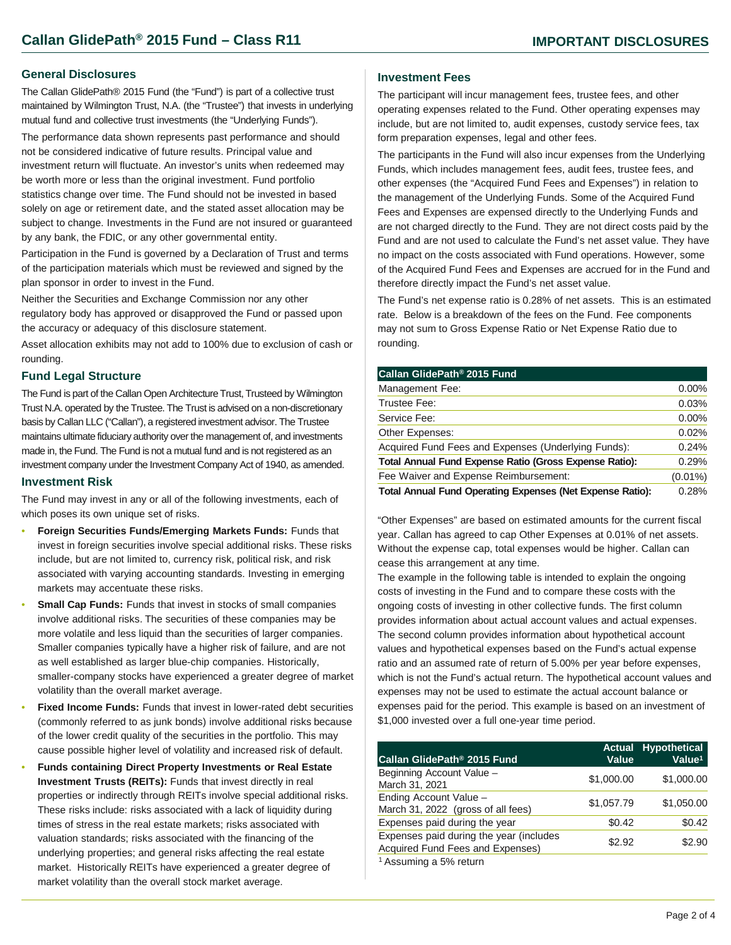#### **General Disclosures**

The Callan GlidePath® 2015 Fund (the "Fund") is part of a collective trust maintained by Wilmington Trust, N.A. (the "Trustee") that invests in underlying mutual fund and collective trust investments (the "Underlying Funds").

The performance data shown represents past performance and should not be considered indicative of future results. Principal value and investment return will fluctuate. An investor's units when redeemed may be worth more or less than the original investment. Fund portfolio statistics change over time. The Fund should not be invested in based solely on age or retirement date, and the stated asset allocation may be subject to change. Investments in the Fund are not insured or guaranteed by any bank, the FDIC, or any other governmental entity.

Participation in the Fund is governed by a Declaration of Trust and terms of the participation materials which must be reviewed and signed by the plan sponsor in order to invest in the Fund.

Neither the Securities and Exchange Commission nor any other regulatory body has approved or disapproved the Fund or passed upon the accuracy or adequacy of this disclosure statement.

Asset allocation exhibits may not add to 100% due to exclusion of cash or rounding.

#### **Fund Legal Structure**

The Fund is part of the Callan Open Architecture Trust, Trusteed by Wilmington Trust N.A. operated by the Trustee. The Trust is advised on a non-discretionary basis by Callan LLC ("Callan"), a registered investment advisor. The Trustee maintains ultimate fiduciary authority over the management of, and investments made in, the Fund. The Fund is not a mutual fund and is not registered as an investment company under the Investment Company Act of 1940, as amended.

#### **Investment Risk**

The Fund may invest in any or all of the following investments, each of which poses its own unique set of risks.

- **Foreign Securities Funds/Emerging Markets Funds:** Funds that invest in foreign securities involve special additional risks. These risks include, but are not limited to, currency risk, political risk, and risk associated with varying accounting standards. Investing in emerging markets may accentuate these risks.
- **Small Cap Funds:** Funds that invest in stocks of small companies involve additional risks. The securities of these companies may be more volatile and less liquid than the securities of larger companies. Smaller companies typically have a higher risk of failure, and are not as well established as larger blue-chip companies. Historically, smaller-company stocks have experienced a greater degree of market volatility than the overall market average.
- **Fixed Income Funds:** Funds that invest in lower-rated debt securities (commonly referred to as junk bonds) involve additional risks because of the lower credit quality of the securities in the portfolio. This may cause possible higher level of volatility and increased risk of default.
- **Funds containing Direct Property Investments or Real Estate Investment Trusts (REITs):** Funds that invest directly in real properties or indirectly through REITs involve special additional risks. These risks include: risks associated with a lack of liquidity during times of stress in the real estate markets; risks associated with valuation standards; risks associated with the financing of the underlying properties; and general risks affecting the real estate market. Historically REITs have experienced a greater degree of market volatility than the overall stock market average.

#### **Investment Fees**

The participant will incur management fees, trustee fees, and other operating expenses related to the Fund. Other operating expenses may include, but are not limited to, audit expenses, custody service fees, tax form preparation expenses, legal and other fees.

The participants in the Fund will also incur expenses from the Underlying Funds, which includes management fees, audit fees, trustee fees, and other expenses (the "Acquired Fund Fees and Expenses") in relation to the management of the Underlying Funds. Some of the Acquired Fund Fees and Expenses are expensed directly to the Underlying Funds and are not charged directly to the Fund. They are not direct costs paid by the Fund and are not used to calculate the Fund's net asset value. They have no impact on the costs associated with Fund operations. However, some of the Acquired Fund Fees and Expenses are accrued for in the Fund and therefore directly impact the Fund's net asset value.

The Fund's net expense ratio is 0.28% of net assets. This is an estimated rate. Below is a breakdown of the fees on the Fund. Fee components may not sum to Gross Expense Ratio or Net Expense Ratio due to rounding.

| Callan GlidePath <sup>®</sup> 2015 Fund                          |            |
|------------------------------------------------------------------|------------|
| Management Fee:                                                  | $0.00\%$   |
| Trustee Fee:                                                     | 0.03%      |
| Service Fee:                                                     | $0.00\%$   |
| Other Expenses:                                                  | 0.02%      |
| Acquired Fund Fees and Expenses (Underlying Funds):              | 0.24%      |
| <b>Total Annual Fund Expense Ratio (Gross Expense Ratio):</b>    | 0.29%      |
| Fee Waiver and Expense Reimbursement:                            | $(0.01\%)$ |
| <b>Total Annual Fund Operating Expenses (Net Expense Ratio):</b> | 0.28%      |

"Other Expenses" are based on estimated amounts for the current fiscal year. Callan has agreed to cap Other Expenses at 0.01% of net assets. Without the expense cap, total expenses would be higher. Callan can cease this arrangement at any time.

The example in the following table is intended to explain the ongoing costs of investing in the Fund and to compare these costs with the ongoing costs of investing in other collective funds. The first column provides information about actual account values and actual expenses. The second column provides information about hypothetical account values and hypothetical expenses based on the Fund's actual expense ratio and an assumed rate of return of 5.00% per year before expenses, which is not the Fund's actual return. The hypothetical account values and expenses may not be used to estimate the actual account balance or expenses paid for the period. This example is based on an investment of \$1,000 invested over a full one-year time period.

| Callan GlidePath® 2015 Fund                                                 | <b>Actual</b><br>Value | <b>Hypothetical</b><br>Value <sup>1</sup> |
|-----------------------------------------------------------------------------|------------------------|-------------------------------------------|
| Beginning Account Value -<br>March 31, 2021                                 | \$1,000.00             | \$1,000.00                                |
| Ending Account Value -<br>March 31, 2022 (gross of all fees)                | \$1,057.79             | \$1,050.00                                |
| Expenses paid during the year                                               | \$0.42                 | \$0.42                                    |
| Expenses paid during the year (includes<br>Acquired Fund Fees and Expenses) | \$2.92                 | \$2.90                                    |
| <sup>1</sup> Assuming a 5% return                                           |                        |                                           |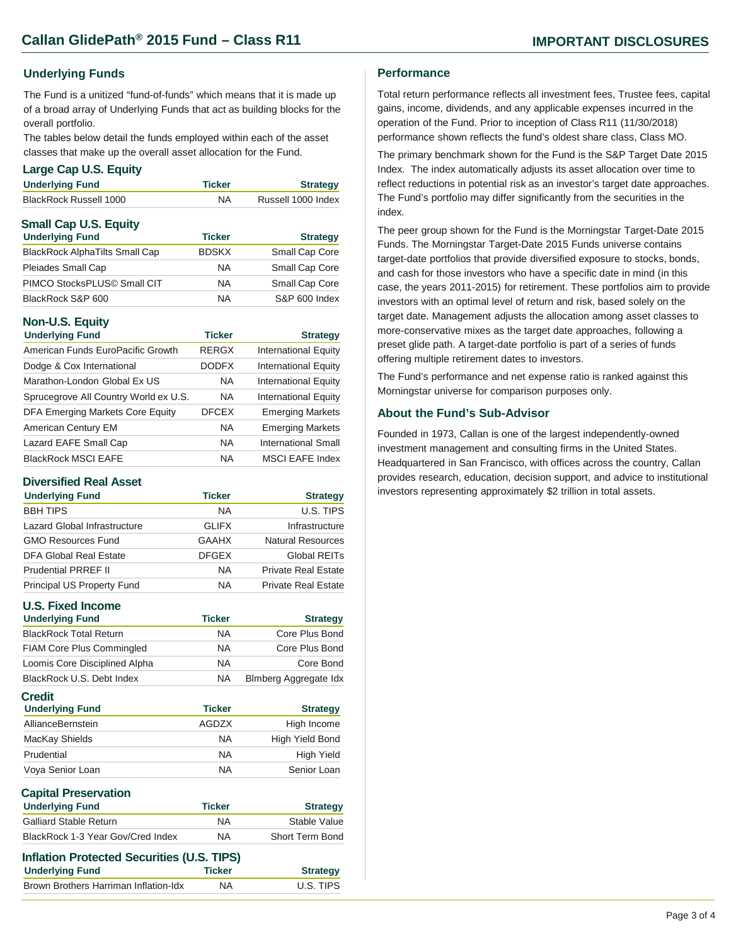#### **Underlying Funds**

The Fund is a unitized "fund-of-funds" which means that it is made up of a broad array of Underlying Funds that act as building blocks for the overall portfolio.

The tables below detail the funds employed within each of the asset classes that make up the overall asset allocation for the Fund.

#### **Large Cap U.S. Equity**

| <b>Underlying Fund</b>                | <b>Ticker</b> | <b>Strategy</b>    |
|---------------------------------------|---------------|--------------------|
| <b>BlackRock Russell 1000</b>         | NA.           | Russell 1000 Index |
| <b>Small Cap U.S. Equity</b>          |               |                    |
| <b>Underlying Fund</b>                | <b>Ticker</b> | <b>Strategy</b>    |
| <b>BlackRock AlphaTilts Small Cap</b> | <b>BDSKX</b>  | Small Cap Core     |
| Pleiades Small Cap                    | ΝA            | Small Cap Core     |

PIMCO StocksPLUS© Small CIT NA Small Cap Core BlackRock S&P 600 NA S&P 600 Index

### **Non-U.S. Equity**

| $\frac{1}{2}$                         |               |                             |
|---------------------------------------|---------------|-----------------------------|
| <b>Underlying Fund</b>                | <b>Ticker</b> | <b>Strategy</b>             |
| American Funds EuroPacific Growth     | <b>RERGX</b>  | <b>International Equity</b> |
| Dodge & Cox International             | <b>DODFX</b>  | <b>International Equity</b> |
| Marathon-London Global Ex US          | <b>NA</b>     | <b>International Equity</b> |
| Sprucegrove All Country World ex U.S. | <b>NA</b>     | <b>International Equity</b> |
| DFA Emerging Markets Core Equity      | <b>DFCEX</b>  | <b>Emerging Markets</b>     |
| American Century EM                   | <b>NA</b>     | <b>Emerging Markets</b>     |
| Lazard EAFE Small Cap                 | <b>NA</b>     | <b>International Small</b>  |
| <b>BlackRock MSCI EAFE</b>            | <b>NA</b>     | <b>MSCI EAFE Index</b>      |

#### **Diversified Real Asset**

| <b>Underlying Fund</b>       | <b>Ticker</b> | <b>Strategy</b>            |
|------------------------------|---------------|----------------------------|
| <b>BBH TIPS</b>              | <b>NA</b>     | U.S. TIPS                  |
| Lazard Global Infrastructure | <b>GLIFX</b>  | Infrastructure             |
| <b>GMO Resources Fund</b>    | <b>GAAHX</b>  | Natural Resources          |
| DFA Global Real Estate       | <b>DFGEX</b>  | Global REITs               |
| <b>Prudential PRREF II</b>   | <b>NA</b>     | <b>Private Real Estate</b> |
| Principal US Property Fund   | NA.           | <b>Private Real Estate</b> |

#### **U.S. Fixed Income**

| U.J. I IACU IIIWUIIIC                   |               |                              |
|-----------------------------------------|---------------|------------------------------|
| <b>Underlying Fund</b>                  | <b>Ticker</b> | <b>Strategy</b>              |
| <b>BlackRock Total Return</b>           | <b>NA</b>     | Core Plus Bond               |
| <b>FIAM Core Plus Commingled</b>        | <b>NA</b>     | Core Plus Bond               |
| Loomis Core Disciplined Alpha           | <b>NA</b>     | Core Bond                    |
| BlackRock U.S. Debt Index               | <b>NA</b>     | <b>Blmberg Aggregate Idx</b> |
| <b>Credit</b><br><b>Underlying Fund</b> | <b>Ticker</b> | <b>Strategy</b>              |
| AllianceBernstein                       | AGDZX         | High Income                  |
| MacKay Shields                          | <b>NA</b>     | High Yield Bond              |
|                                         | <b>NA</b>     | <b>High Yield</b>            |
| Prudential                              |               |                              |

| vapnar i rooci vativir<br><b>Underlying Fund</b> | <b>Ticker</b> | <b>Strategy</b> |
|--------------------------------------------------|---------------|-----------------|
| <b>Galliard Stable Return</b>                    | ΝA            | Stable Value    |
| BlackRock 1-3 Year Gov/Cred Index                | ΝA            | Short Term Bond |

| <b>Inflation Protected Securities (U.S. TIPS)</b> |                 |  |
|---------------------------------------------------|-----------------|--|
| <b>Ticker</b>                                     | <b>Strategy</b> |  |
| <b>NA</b>                                         | U.S. TIPS       |  |
|                                                   |                 |  |

#### **Performance**

Total return performance reflects all investment fees, Trustee fees, capital gains, income, dividends, and any applicable expenses incurred in the operation of the Fund. Prior to inception of Class R11 (11/30/2018) performance shown reflects the fund's oldest share class, Class MO.

The primary benchmark shown for the Fund is the S&P Target Date 2015 Index. The index automatically adjusts its asset allocation over time to reflect reductions in potential risk as an investor's target date approaches. The Fund's portfolio may differ significantly from the securities in the index.

The peer group shown for the Fund is the Morningstar Target-Date 2015 Funds. The Morningstar Target-Date 2015 Funds universe contains target-date portfolios that provide diversified exposure to stocks, bonds, and cash for those investors who have a specific date in mind (in this case, the years 2011-2015) for retirement. These portfolios aim to provide investors with an optimal level of return and risk, based solely on the target date. Management adjusts the allocation among asset classes to more-conservative mixes as the target date approaches, following a preset glide path. A target-date portfolio is part of a series of funds offering multiple retirement dates to investors.

The Fund's performance and net expense ratio is ranked against this Morningstar universe for comparison purposes only.

#### **About the Fund's Sub-Advisor**

Founded in 1973, Callan is one of the largest independently-owned investment management and consulting firms in the United States. Headquartered in San Francisco, with offices across the country, Callan provides research, education, decision support, and advice to institutional investors representing approximately \$2 trillion in total assets.